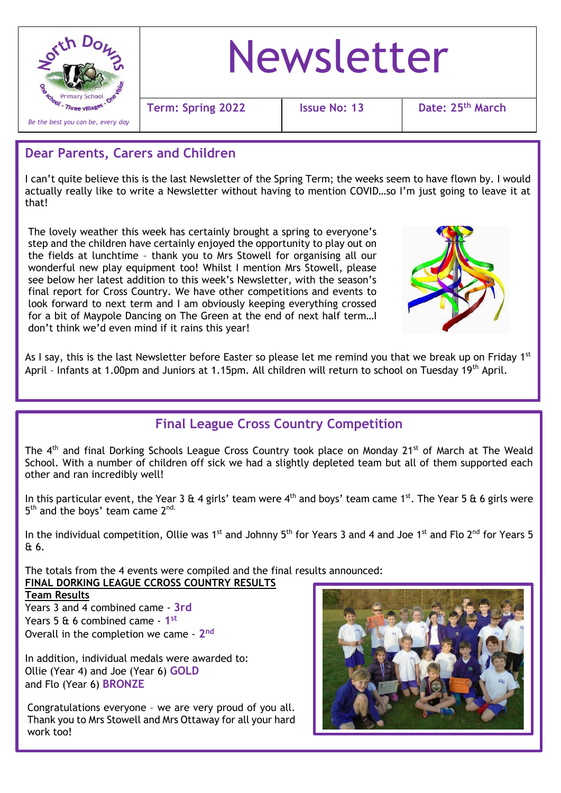

# Newsletter

**Term: Spring 2022 Issue No: 13 Date: 25th March**

### **Dear Parents, Carers and Children**

I can't quite believe this is the last Newsletter of the Spring Term; the weeks seem to have flown by. I would actually really like to write a Newsletter without having to mention COVID…so I'm just going to leave it at that!

The lovely weather this week has certainly brought a spring to everyone's step and the children have certainly enjoyed the opportunity to play out on the fields at lunchtime – thank you to Mrs Stowell for organising all our wonderful new play equipment too! Whilst I mention Mrs Stowell, please see below her latest addition to this week's Newsletter, with the season's final report for Cross Country. We have other competitions and events to look forward to next term and I am obviously keeping everything crossed for a bit of Maypole Dancing on The Green at the end of next half term…I don't think we'd even mind if it rains this year!



As I say, this is the last Newsletter before Easter so please let me remind you that we break up on Friday 1<sup>st</sup> April - Infants at 1.00pm and Juniors at 1.15pm. All children will return to school on Tuesday 19<sup>th</sup> April.

## **Final League Cross Country Competition**

The 4<sup>th</sup> and final Dorking Schools League Cross Country took place on Monday 21<sup>st</sup> of March at The Weald School. With a number of children off sick we had a slightly depleted team but all of them supported each other and ran incredibly well!

In this particular event, the Year 3 & 4 girls' team were  $4<sup>th</sup>$  and boys' team came 1<sup>st</sup>. The Year 5 & 6 girls were 5<sup>th</sup> and the boys' team came 2<sup>nd.</sup>

In the individual competition, Ollie was  $1^{st}$  and Johnny  $5^{th}$  for Years 3 and 4 and Joe  $1^{st}$  and Flo  $2^{nd}$  for Years 5 & 6.

 **FINAL DORKING LEAGUE CCROSS COUNTRY RESULTS** The totals from the 4 events were compiled and the final results announced:

#### **Team Results**

Years 3 and 4 combined came - **3rd** Years 5 & 6 combined came - **1 st** Overall in the completion we came - **2 nd**

In addition, individual medals were awarded to: Ollie (Year 4) and Joe (Year 6) **GOLD** and Flo (Year 6) **BRONZE**

Congratulations everyone – we are very proud of you all. Thank you to Mrs Stowell and Mrs Ottaway for all your hard work too!